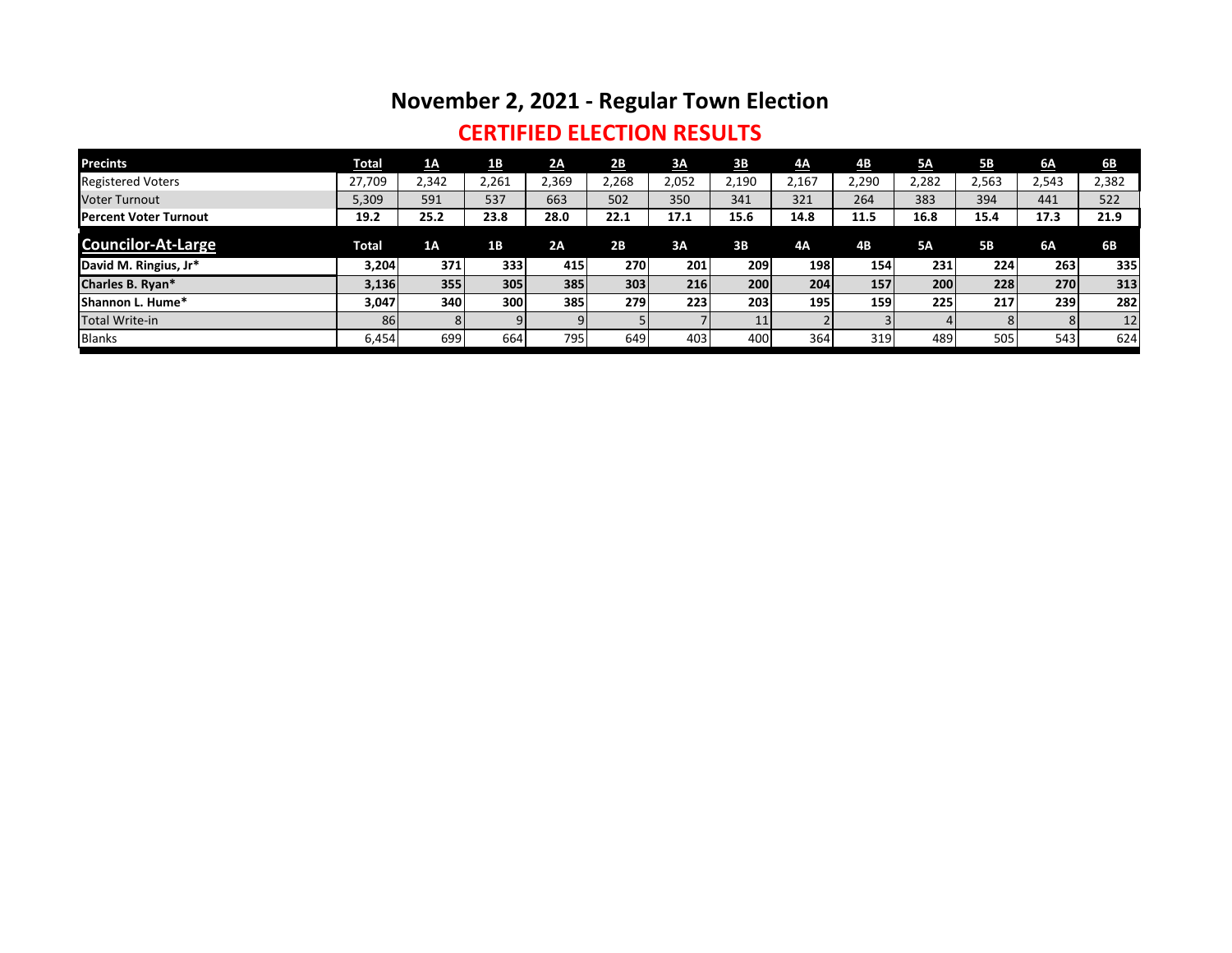# **November 2, 2021 - Regular Town Election**

### **CERTIFIED ELECTION RESULTS**

| <b>Precints</b>               | <b>Total</b> | 1A    | <u>1B</u> | 2A    | 2B    | 3A    | 3B    | 4A    | $\underline{AB}$ | <b>5A</b> | <u>5B</u> | 6A    | 6 <b>B</b> |
|-------------------------------|--------------|-------|-----------|-------|-------|-------|-------|-------|------------------|-----------|-----------|-------|------------|
| <b>Registered Voters</b>      | 27,709       | 2,342 | 2,261     | 2,369 | 2,268 | 2,052 | 2,190 | 2,167 | 2,290            | 2,282     | 2,563     | 2,543 | 2,382      |
| <b>Voter Turnout</b>          | 5,309        | 591   | 537       | 663   | 502   | 350   | 341   | 321   | 264              | 383       | 394       | 441   | 522        |
| <b>IPercent Voter Turnout</b> | 19.2         | 25.2  | 23.8      | 28.0  | 22.1  | 17.1  | 15.6  | 14.8  | 11.5             | 16.8      | 15.4      | 17.3  | 21.9       |
| <b>Councilor-At-Large</b>     | Total        | 1A    | <b>1B</b> | 2A    | 2B    | 3A    | 3B    | 4Α    | 4B               | <b>5A</b> | <b>5B</b> | 6A    | 6B         |
| David M. Ringius, Jr*         | 3,204        | 371   | 333       | 415   | 270   | 201   | 209   | 198   | 154              | 231       | 224       | 263   | 335        |
| Charles B. Ryan*              | 3,136        | 355   | 305       | 385   | 303   | 216   | 200   | 204   | 157              | 200       | 228       | 270   | 313        |
| Shannon L. Hume*              | 3,047        | 340   | 300       | 385   | 279   | 223   | 203   | 195   | 159              | 225       | 217       | 239   | 282        |
| Total Write-in                | 86           |       | 9         |       |       |       | 11    |       |                  |           | 81        | 8     | 12         |
| <b>Blanks</b>                 | 6,454        | 699   | 664       | 7951  | 649   | 403   | 400   | 364   | 319              | 489       | 505       | 543   | 624        |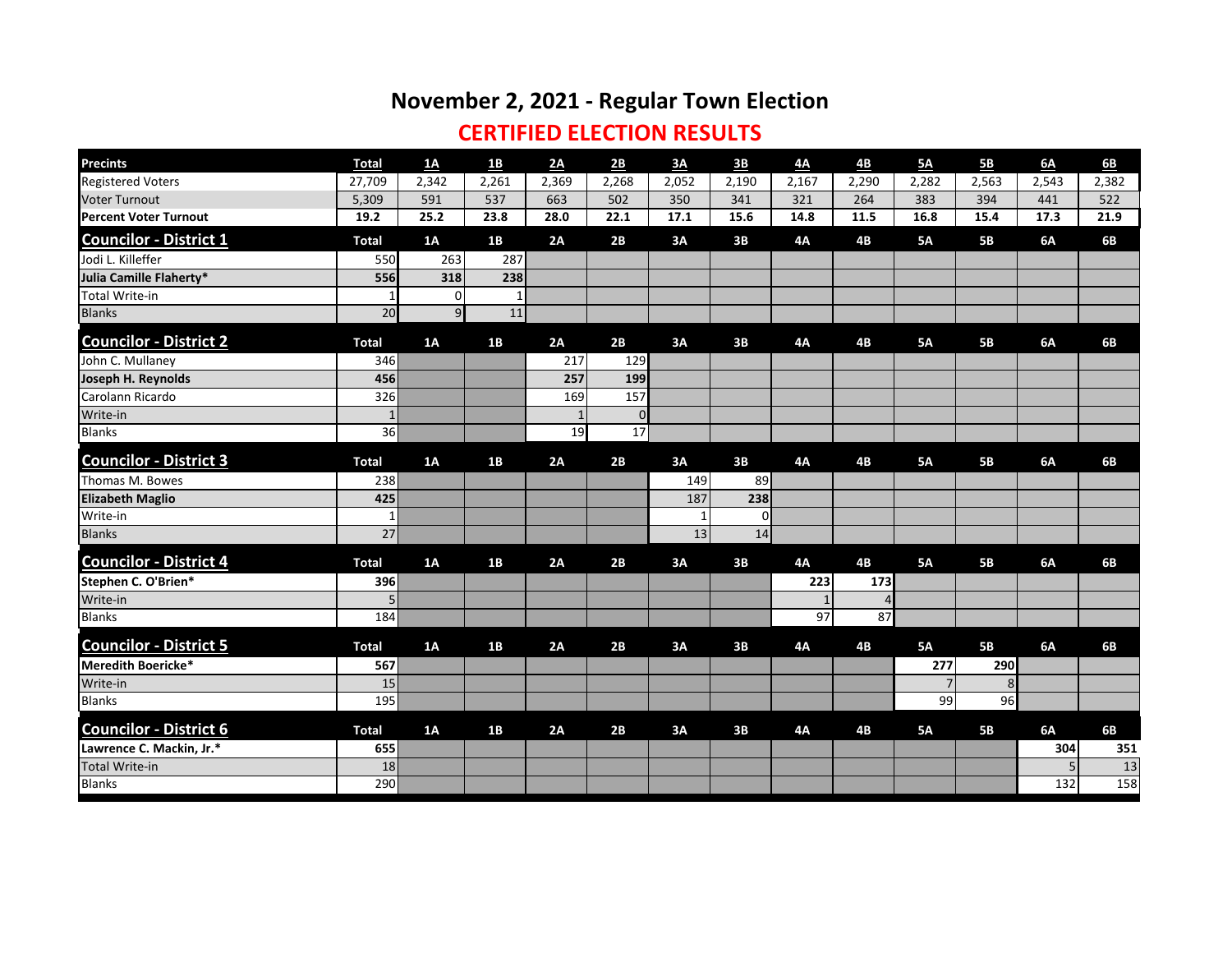## **November 2, 2021 - Regular Town Election**

### **CERTIFIED ELECTION RESULTS**

| <b>Precints</b>               | <b>Total</b>    | $\underline{\mathbf{1}}\underline{\mathbf{A}}$ | <u>1B</u>    | 2A           | 2B             | 3A    | $\underline{\mathbf{3B}}$ | 4A             | 4B             | 5A             | 5B        | 6A    | 6 <b>B</b> |
|-------------------------------|-----------------|------------------------------------------------|--------------|--------------|----------------|-------|---------------------------|----------------|----------------|----------------|-----------|-------|------------|
| <b>Registered Voters</b>      | 27,709          | 2,342                                          | 2,261        | 2,369        | 2,268          | 2,052 | 2,190                     | 2,167          | 2,290          | 2,282          | 2,563     | 2,543 | 2,382      |
| <b>Voter Turnout</b>          | 5,309           | 591                                            | 537          | 663          | 502            | 350   | 341                       | 321            | 264            | 383            | 394       | 441   | 522        |
| <b>Percent Voter Turnout</b>  | 19.2            | 25.2                                           | 23.8         | 28.0         | 22.1           | 17.1  | 15.6                      | 14.8           | 11.5           | 16.8           | 15.4      | 17.3  | 21.9       |
| <b>Councilor - District 1</b> | <b>Total</b>    | 1A                                             | 1B           | 2A           | 2B             | 3A    | 3B                        | <b>4A</b>      | <b>4B</b>      | <b>5A</b>      | <b>5B</b> | 6A    | 6B         |
| Jodi L. Killeffer             | 550             | 263                                            | 287          |              |                |       |                           |                |                |                |           |       |            |
| Julia Camille Flaherty*       | 556             | 318                                            | 238          |              |                |       |                           |                |                |                |           |       |            |
| <b>Total Write-in</b>         | $\mathbf{1}$    | $\Omega$                                       | $\mathbf{1}$ |              |                |       |                           |                |                |                |           |       |            |
| <b>Blanks</b>                 | 20              | q                                              | 11           |              |                |       |                           |                |                |                |           |       |            |
| <b>Councilor - District 2</b> | <b>Total</b>    | 1A                                             | 1B           | 2A           | 2B             | 3A    | 3B                        | <b>4A</b>      | <b>4B</b>      | <b>5A</b>      | <b>5B</b> | 6A    | 6B         |
| John C. Mullaney              | 346             |                                                |              | 217          | 129            |       |                           |                |                |                |           |       |            |
| Joseph H. Reynolds            | 456             |                                                |              | 257          | 199            |       |                           |                |                |                |           |       |            |
| Carolann Ricardo              | 326             |                                                |              | 169          | 157            |       |                           |                |                |                |           |       |            |
| Write-in                      | $1\,$           |                                                |              | $\mathbf{1}$ | $\overline{0}$ |       |                           |                |                |                |           |       |            |
| <b>Blanks</b>                 | 36              |                                                |              | 19           | 17             |       |                           |                |                |                |           |       |            |
| <b>Councilor - District 3</b> | <b>Total</b>    | 1A                                             | 1B           | 2A           | 2B             | 3A    | 3B                        | <b>4A</b>      | <b>4B</b>      | <b>5A</b>      | <b>5B</b> | 6A    | 6B         |
| Thomas M. Bowes               | 238             |                                                |              |              |                | 149   | 89                        |                |                |                |           |       |            |
| <b>Elizabeth Maglio</b>       | 425             |                                                |              |              |                | 187   | 238                       |                |                |                |           |       |            |
| Write-in                      | $\mathbf{1}$    |                                                |              |              |                |       | $\Omega$                  |                |                |                |           |       |            |
| <b>Blanks</b>                 | $\overline{27}$ |                                                |              |              |                | 13    | 14                        |                |                |                |           |       |            |
| <b>Councilor - District 4</b> | <b>Total</b>    | 1A                                             | 1B           | 2A           | 2B             | 3A    | 3B                        | <b>4A</b>      | 4B             | <b>5A</b>      | <b>5B</b> | 6A    | 6B         |
| Stephen C. O'Brien*           | 396             |                                                |              |              |                |       |                           | 223            | 173            |                |           |       |            |
| Write-in                      | 5               |                                                |              |              |                |       |                           | $\overline{1}$ | $\overline{A}$ |                |           |       |            |
| <b>Blanks</b>                 | 184             |                                                |              |              |                |       |                           | 97             | 87             |                |           |       |            |
| <b>Councilor - District 5</b> | <b>Total</b>    | 1A                                             | 1B           | 2A           | 2B             | 3A    | 3B                        | <b>4A</b>      | <b>4B</b>      | <b>5A</b>      | <b>5B</b> | 6A    | 6B         |
| Meredith Boericke*            | 567             |                                                |              |              |                |       |                           |                |                | 277            | 290       |       |            |
| Write-in                      | 15              |                                                |              |              |                |       |                           |                |                | $\overline{7}$ | 8         |       |            |
| <b>Blanks</b>                 | 195             |                                                |              |              |                |       |                           |                |                | 99             | 96        |       |            |
| <b>Councilor - District 6</b> | <b>Total</b>    | 1A                                             | 1B           | 2A           | 2B             | 3A    | 3B                        | <b>4A</b>      | <b>4B</b>      | <b>5A</b>      | <b>5B</b> | 6A    | 6B         |
| Lawrence C. Mackin, Jr.*      | 655             |                                                |              |              |                |       |                           |                |                |                |           | 304   | 351        |
| <b>Total Write-in</b>         | 18              |                                                |              |              |                |       |                           |                |                |                |           |       | 13         |
| <b>Blanks</b>                 | 290             |                                                |              |              |                |       |                           |                |                |                |           | 132   | 158        |